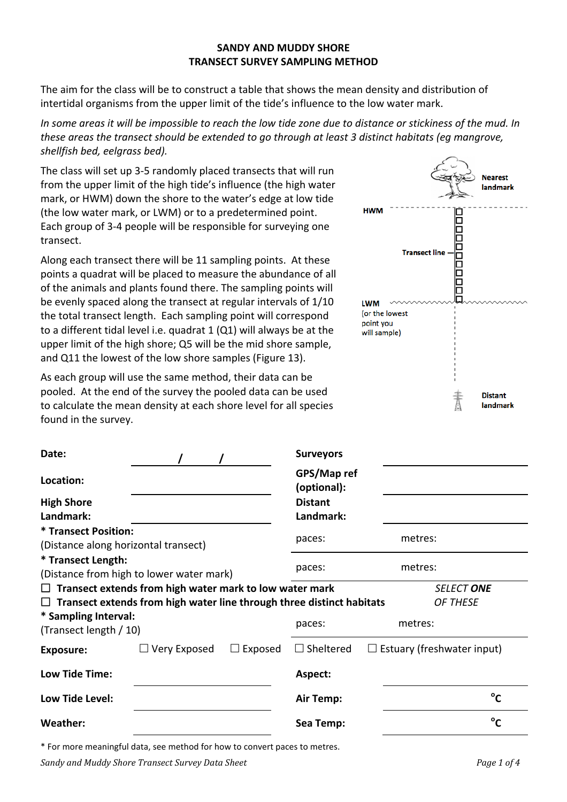#### **SANDY AND MUDDY SHORE TRANSECT SURVEY SAMPLING METHOD**

The aim for the class will be to construct a table that shows the mean density and distribution of intertidal organisms from the upper limit of the tide's influence to the low water mark.

In some areas it will be impossible to reach the low tide zone due to distance or stickiness of the mud. In *these areas the transect should be extended to go through at least 3 distinct habitats (eg mangrove, shellfish bed, eelgrass bed).*

The class will set up 3-5 randomly placed transects that will run from the upper limit of the high tide's influence (the high water mark, or HWM) down the shore to the water's edge at low tide (the low water mark, or LWM) or to a predetermined point. Each group of 3-4 people will be responsible for surveying one transect.

Along each transect there will be 11 sampling points. At these points a quadrat will be placed to measure the abundance of all of the animals and plants found there. The sampling points will be evenly spaced along the transect at regular intervals of  $1/10$ the total transect length. Each sampling point will correspond to a different tidal level i.e. quadrat  $1$  (Q1) will always be at the upper limit of the high shore; Q5 will be the mid shore sample, and Q11 the lowest of the low shore samples (Figure 13).

As each group will use the same method, their data can be pooled. At the end of the survey the pooled data can be used to calculate the mean density at each shore level for all species found in the survey.

|                              | <b>Nearest</b><br>landmark |
|------------------------------|----------------------------|
| <b>HWM</b>                   |                            |
| <b>Transect line</b>         |                            |
| <b>LWM</b><br>(or the lowest |                            |
| point you<br>will sample)    |                            |
|                              |                            |
|                              |                            |
|                              | <b>Distant</b><br>landmark |

| Date:                                                               |                                                                              |                            | <b>Surveyors</b>                                      |                   |  |  |  |  |  |  |
|---------------------------------------------------------------------|------------------------------------------------------------------------------|----------------------------|-------------------------------------------------------|-------------------|--|--|--|--|--|--|
| Location:                                                           |                                                                              | GPS/Map ref<br>(optional): |                                                       |                   |  |  |  |  |  |  |
| <b>High Shore</b>                                                   |                                                                              | <b>Distant</b>             |                                                       |                   |  |  |  |  |  |  |
| Landmark:                                                           |                                                                              | Landmark:                  |                                                       |                   |  |  |  |  |  |  |
| <b>* Transect Position:</b><br>(Distance along horizontal transect) |                                                                              |                            | paces:                                                | metres:           |  |  |  |  |  |  |
| * Transect Length:                                                  | (Distance from high to lower water mark)                                     | paces:                     | metres:                                               |                   |  |  |  |  |  |  |
|                                                                     | $\Box$ Transect extends from high water mark to low water mark               |                            |                                                       | <b>SELECT ONE</b> |  |  |  |  |  |  |
|                                                                     | $\Box$ Transect extends from high water line through three distinct habitats |                            |                                                       | OF THESE          |  |  |  |  |  |  |
| * Sampling Interval:<br>(Transect length / 10)                      |                                                                              | paces:                     | metres:                                               |                   |  |  |  |  |  |  |
| <b>Exposure:</b>                                                    | $\Box$ Very Exposed                                                          | Exposed<br>$\Box$          | $\Box$ Sheltered<br>$\Box$ Estuary (freshwater input) |                   |  |  |  |  |  |  |
| Low Tide Time:                                                      |                                                                              |                            | Aspect:                                               |                   |  |  |  |  |  |  |
| Low Tide Level:                                                     |                                                                              |                            | Air Temp:                                             | $^{\circ}$ C      |  |  |  |  |  |  |
| <b>Weather:</b>                                                     |                                                                              | Sea Temp:                  | $^{\circ}$ C                                          |                   |  |  |  |  |  |  |
|                                                                     |                                                                              |                            |                                                       |                   |  |  |  |  |  |  |

\* For more meaningful data, see method for how to convert paces to metres.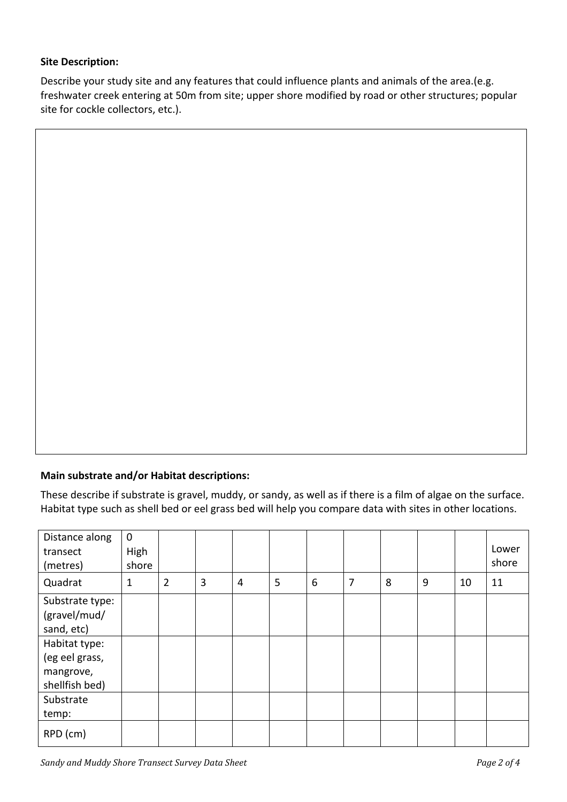### **Site Description:**

Describe your study site and any features that could influence plants and animals of the area.(e.g. freshwater creek entering at 50m from site; upper shore modified by road or other structures; popular site for cockle collectors, etc.).

# **Main substrate and/or Habitat descriptions:**

These describe if substrate is gravel, muddy, or sandy, as well as if there is a film of algae on the surface. Habitat type such as shell bed or eel grass bed will help you compare data with sites in other locations.

| Distance along<br>transect<br>(metres)                         | $\mathbf 0$<br>High<br>shore |                |   |                |   |   |   |   |   |    | Lower<br>shore |
|----------------------------------------------------------------|------------------------------|----------------|---|----------------|---|---|---|---|---|----|----------------|
| Quadrat                                                        | 1                            | $\overline{2}$ | 3 | $\overline{4}$ | 5 | 6 | 7 | 8 | 9 | 10 | 11             |
| Substrate type:<br>(gravel/mud/<br>sand, etc)                  |                              |                |   |                |   |   |   |   |   |    |                |
| Habitat type:<br>(eg eel grass,<br>mangrove,<br>shellfish bed) |                              |                |   |                |   |   |   |   |   |    |                |
| Substrate<br>temp:                                             |                              |                |   |                |   |   |   |   |   |    |                |
| RPD (cm)                                                       |                              |                |   |                |   |   |   |   |   |    |                |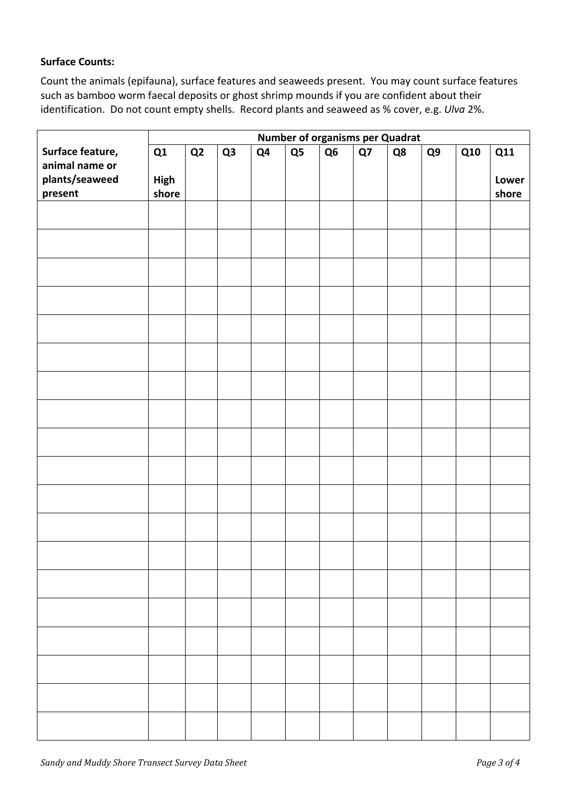### **Surface Counts:**

Count the animals (epifauna), surface features and seaweeds present. You may count surface features such as bamboo worm faecal deposits or ghost shrimp mounds if you are confident about their identification. Do not count empty shells. Record plants and seaweed as % cover, e.g. *Ulva* 2%.

|                  | <b>Number of organisms per Quadrat</b> |    |                |    |    |    |    |    |    |            |            |
|------------------|----------------------------------------|----|----------------|----|----|----|----|----|----|------------|------------|
| Surface feature, | Q1                                     | Q2 | Q <sub>3</sub> | Q4 | Q5 | Q6 | Q7 | Q8 | Q9 | <b>Q10</b> | <b>Q11</b> |
| animal name or   |                                        |    |                |    |    |    |    |    |    |            |            |
| plants/seaweed   | High                                   |    |                |    |    |    |    |    |    |            | Lower      |
| present          | shore                                  |    |                |    |    |    |    |    |    |            | shore      |
|                  |                                        |    |                |    |    |    |    |    |    |            |            |
|                  |                                        |    |                |    |    |    |    |    |    |            |            |
|                  |                                        |    |                |    |    |    |    |    |    |            |            |
|                  |                                        |    |                |    |    |    |    |    |    |            |            |
|                  |                                        |    |                |    |    |    |    |    |    |            |            |
|                  |                                        |    |                |    |    |    |    |    |    |            |            |
|                  |                                        |    |                |    |    |    |    |    |    |            |            |
|                  |                                        |    |                |    |    |    |    |    |    |            |            |
|                  |                                        |    |                |    |    |    |    |    |    |            |            |
|                  |                                        |    |                |    |    |    |    |    |    |            |            |
|                  |                                        |    |                |    |    |    |    |    |    |            |            |
|                  |                                        |    |                |    |    |    |    |    |    |            |            |
|                  |                                        |    |                |    |    |    |    |    |    |            |            |
|                  |                                        |    |                |    |    |    |    |    |    |            |            |
|                  |                                        |    |                |    |    |    |    |    |    |            |            |
|                  |                                        |    |                |    |    |    |    |    |    |            |            |
|                  |                                        |    |                |    |    |    |    |    |    |            |            |
|                  |                                        |    |                |    |    |    |    |    |    |            |            |
|                  |                                        |    |                |    |    |    |    |    |    |            |            |
|                  |                                        |    |                |    |    |    |    |    |    |            |            |
|                  |                                        |    |                |    |    |    |    |    |    |            |            |
|                  |                                        |    |                |    |    |    |    |    |    |            |            |
|                  |                                        |    |                |    |    |    |    |    |    |            |            |
|                  |                                        |    |                |    |    |    |    |    |    |            |            |
|                  |                                        |    |                |    |    |    |    |    |    |            |            |
|                  |                                        |    |                |    |    |    |    |    |    |            |            |
|                  |                                        |    |                |    |    |    |    |    |    |            |            |
|                  |                                        |    |                |    |    |    |    |    |    |            |            |
|                  |                                        |    |                |    |    |    |    |    |    |            |            |
|                  |                                        |    |                |    |    |    |    |    |    |            |            |
|                  |                                        |    |                |    |    |    |    |    |    |            |            |
|                  |                                        |    |                |    |    |    |    |    |    |            |            |